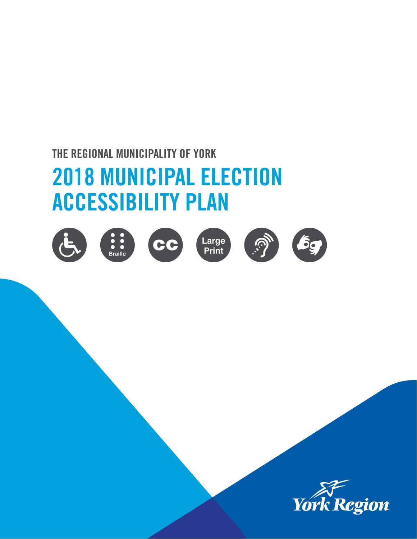# THE REGIONAL MUNICIPALITY OF YORK

# **2018 MUNICIPAL ELECTION ACCESSIBILITY PLAN**













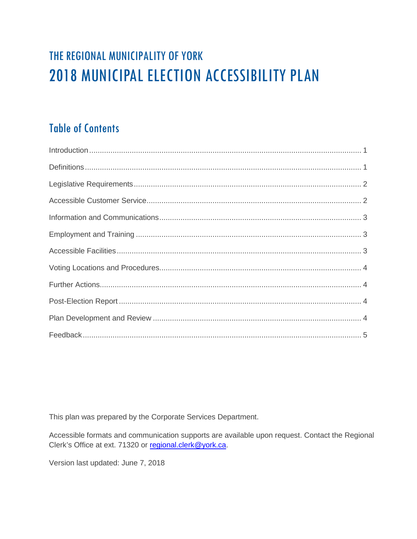# THE REGIONAL MUNICIPALITY OF YORK **2018 MUNICIPAL ELECTION ACCESSIBILITY PLAN**

# **Table of Contents**

This plan was prepared by the Corporate Services Department.

Accessible formats and communication supports are available upon request. Contact the Regional Clerk's Office at ext. 71320 or regional.clerk@york.ca.

Version last updated: June 7, 2018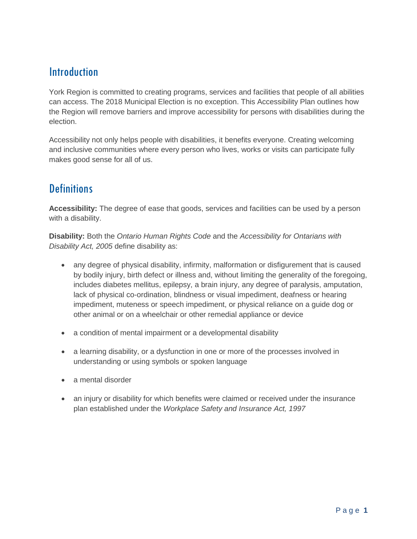# <span id="page-2-0"></span>Introduction

York Region is committed to creating programs, services and facilities that people of all abilities can access. The 2018 Municipal Election is no exception. This Accessibility Plan outlines how the Region will remove barriers and improve accessibility for persons with disabilities during the election.

Accessibility not only helps people with disabilities, it benefits everyone. Creating welcoming and inclusive communities where every person who lives, works or visits can participate fully makes good sense for all of us.

# <span id="page-2-1"></span>**Definitions**

**Accessibility:** The degree of ease that goods, services and facilities can be used by a person with a disability.

**Disability:** Both the *Ontario Human Rights Code* and the *Accessibility for Ontarians with Disability Act, 2005* define disability as:

- any degree of physical disability, infirmity, malformation or disfigurement that is caused by bodily injury, birth defect or illness and, without limiting the generality of the foregoing, includes diabetes mellitus, epilepsy, a brain injury, any degree of paralysis, amputation, lack of physical co-ordination, blindness or visual impediment, deafness or hearing impediment, muteness or speech impediment, or physical reliance on a guide dog or other animal or on a wheelchair or other remedial appliance or device
- a condition of mental impairment or a developmental disability
- a learning disability, or a dysfunction in one or more of the processes involved in understanding or using symbols or spoken language
- a mental disorder
- an injury or disability for which benefits were claimed or received under the insurance plan established under the *Workplace Safety and Insurance Act, 1997*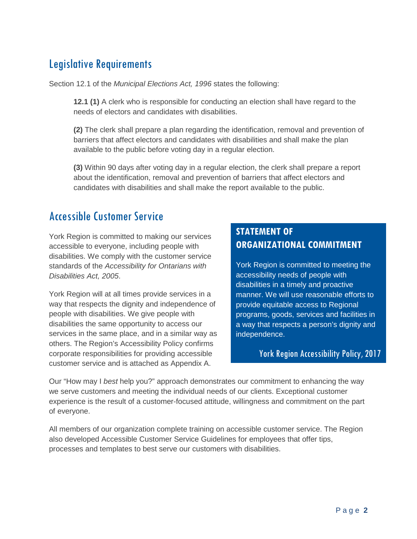# <span id="page-3-0"></span>Legislative Requirements

Section 12.1 of the *Municipal Elections Act, 1996* states the following:

**12.1 (1)** A clerk who is responsible for conducting an election shall have regard to the needs of electors and candidates with disabilities.

**(2)** The clerk shall prepare a plan regarding the identification, removal and prevention of barriers that affect electors and candidates with disabilities and shall make the plan available to the public before voting day in a regular election.

**(3)** Within 90 days after voting day in a regular election, the clerk shall prepare a report about the identification, removal and prevention of barriers that affect electors and candidates with disabilities and shall make the report available to the public.

## <span id="page-3-1"></span>Accessible Customer Service

York Region is committed to making our services accessible to everyone, including people with disabilities. We comply with the customer service standards of the *Accessibility for Ontarians with Disabilities Act, 2005*.

York Region will at all times provide services in a way that respects the dignity and independence of people with disabilities. We give people with disabilities the same opportunity to access our services in the same place, and in a similar way as others. The Region's Accessibility Policy confirms corporate responsibilities for providing accessible customer service and is attached as Appendix A.

#### **STATEMENT OF ORGANIZATIONAL COMMITMENT**

York Region is committed to meeting the accessibility needs of people with disabilities in a timely and proactive manner. We will use reasonable efforts to provide equitable access to Regional programs, goods, services and facilities in a way that respects a person's dignity and independence.

#### York Region Accessibility Policy, 2017

Our "How may I *best* help you?" approach demonstrates our commitment to enhancing the way we serve customers and meeting the individual needs of our clients. Exceptional customer experience is the result of a customer-focused attitude, willingness and commitment on the part of everyone.

All members of our organization complete training on accessible customer service. The Region also developed Accessible Customer Service Guidelines for employees that offer tips, processes and templates to best serve our customers with disabilities.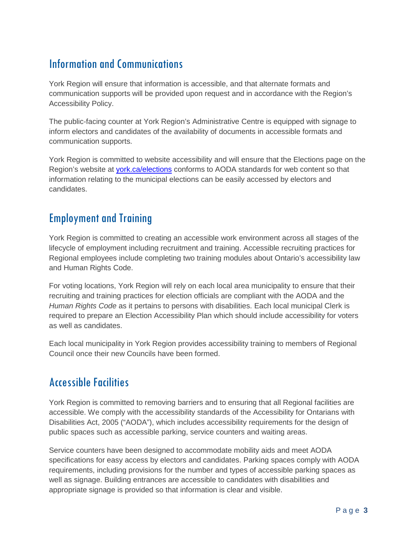# <span id="page-4-0"></span>Information and Communications

York Region will ensure that information is accessible, and that alternate formats and communication supports will be provided upon request and in accordance with the Region's Accessibility Policy.

The public-facing counter at York Region's Administrative Centre is equipped with signage to inform electors and candidates of the availability of documents in accessible formats and communication supports.

York Region is committed to website accessibility and will ensure that the Elections page on the Region's website at [york.ca/elections](http://www.york.ca/elections) conforms to AODA standards for web content so that information relating to the municipal elections can be easily accessed by electors and candidates.

# <span id="page-4-1"></span>Employment and Training

York Region is committed to creating an accessible work environment across all stages of the lifecycle of employment including recruitment and training. Accessible recruiting practices for Regional employees include completing two training modules about Ontario's accessibility law and Human Rights Code.

For voting locations, York Region will rely on each local area municipality to ensure that their recruiting and training practices for election officials are compliant with the AODA and the *Human Rights Code* as it pertains to persons with disabilities. Each local municipal Clerk is required to prepare an Election Accessibility Plan which should include accessibility for voters as well as candidates.

Each local municipality in York Region provides accessibility training to members of Regional Council once their new Councils have been formed.

# <span id="page-4-2"></span>Accessible Facilities

York Region is committed to removing barriers and to ensuring that all Regional facilities are accessible. We comply with the accessibility standards of the Accessibility for Ontarians with Disabilities Act, 2005 ("AODA"), which includes accessibility requirements for the design of public spaces such as accessible parking, service counters and waiting areas.

Service counters have been designed to accommodate mobility aids and meet AODA specifications for easy access by electors and candidates. Parking spaces comply with AODA requirements, including provisions for the number and types of accessible parking spaces as well as signage. Building entrances are accessible to candidates with disabilities and appropriate signage is provided so that information is clear and visible.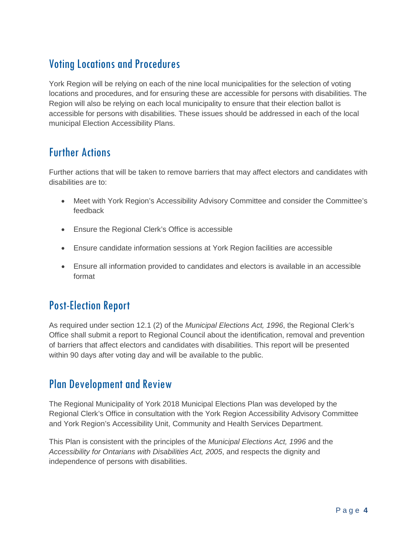# <span id="page-5-0"></span>Voting Locations and Procedures

York Region will be relying on each of the nine local municipalities for the selection of voting locations and procedures, and for ensuring these are accessible for persons with disabilities. The Region will also be relying on each local municipality to ensure that their election ballot is accessible for persons with disabilities. These issues should be addressed in each of the local municipal Election Accessibility Plans.

## <span id="page-5-1"></span>Further Actions

Further actions that will be taken to remove barriers that may affect electors and candidates with disabilities are to:

- Meet with York Region's Accessibility Advisory Committee and consider the Committee's feedback
- Ensure the Regional Clerk's Office is accessible
- Ensure candidate information sessions at York Region facilities are accessible
- Ensure all information provided to candidates and electors is available in an accessible format

# <span id="page-5-2"></span>Post-Election Report

As required under section 12.1 (2) of the *Municipal Elections Act, 1996*, the Regional Clerk's Office shall submit a report to Regional Council about the identification, removal and prevention of barriers that affect electors and candidates with disabilities. This report will be presented within 90 days after voting day and will be available to the public.

# <span id="page-5-3"></span>Plan Development and Review

The Regional Municipality of York 2018 Municipal Elections Plan was developed by the Regional Clerk's Office in consultation with the York Region Accessibility Advisory Committee and York Region's Accessibility Unit, Community and Health Services Department.

This Plan is consistent with the principles of the *Municipal Elections Act, 1996* and the *Accessibility for Ontarians with Disabilities Act, 2005*, and respects the dignity and independence of persons with disabilities.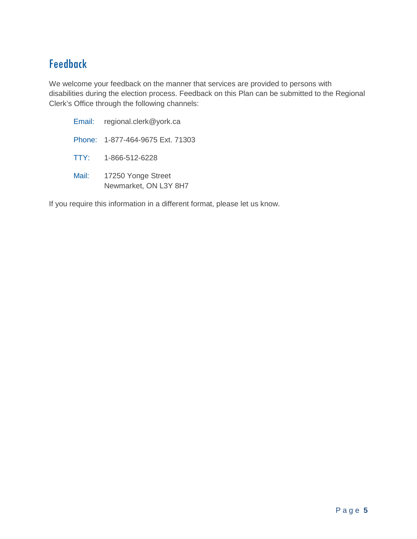# <span id="page-6-0"></span>Feedback

We welcome your feedback on the manner that services are provided to persons with disabilities during the election process. Feedback on this Plan can be submitted to the Regional Clerk's Office through the following channels:

| Email: | regional.clerk@york.ca                      |
|--------|---------------------------------------------|
|        | Phone: 1-877-464-9675 Ext. 71303            |
| TTY:   | 1-866-512-6228                              |
| Mail:  | 17250 Yonge Street<br>Newmarket, ON L3Y 8H7 |

If you require this information in a different format, please let us know.